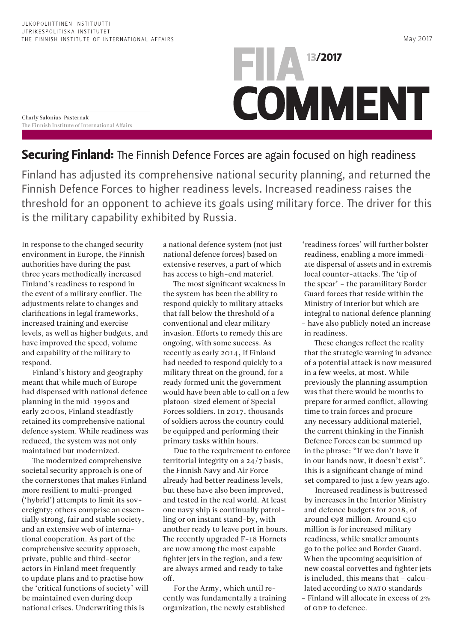Charly Salonius-Pasternak The Finnish Institute of International Affairs

## **13/2017 COMMENT**

## Securing Finland: The Finnish Defence Forces are again focused on high readiness

Finland has adjusted its comprehensive national security planning, and returned the Finnish Defence Forces to higher readiness levels. Increased readiness raises the threshold for an opponent to achieve its goals using military force. The driver for this is the military capability exhibited by Russia.

In response to the changed security environment in Europe, the Finnish authorities have during the past three years methodically increased Finland's readiness to respond in the event of a military conflict. The adjustments relate to changes and clarifications in legal frameworks, increased training and exercise levels, as well as higher budgets, and have improved the speed, volume and capability of the military to respond.

Finland's history and geography meant that while much of Europe had dispensed with national defence planning in the mid-1990s and early 2000s, Finland steadfastly retained its comprehensive national defence system. While readiness was reduced, the system was not only maintained but modernized.

The modernized comprehensive societal security approach is one of the cornerstones that makes Finland more resilient to multi-pronged ('hybrid') attempts to limit its sovereignty; others comprise an essentially strong, fair and stable society, and an extensive web of international cooperation. As part of the comprehensive security approach, private, public and third-sector actors in Finland meet frequently to update plans and to practise how the 'critical functions of society' will be maintained even during deep national crises. Underwriting this is

a national defence system (not just national defence forces) based on extensive reserves, a part of which has access to high-end materiel.

The most significant weakness in the system has been the ability to respond quickly to military attacks that fall below the threshold of a conventional and clear military invasion. Efforts to remedy this are ongoing, with some success. As recently as early 2014, if Finland had needed to respond quickly to a military threat on the ground, for a ready formed unit the government would have been able to call on a few platoon-sized element of Special Forces soldiers. In 2017, thousands of soldiers across the country could be equipped and performing their primary tasks within hours.

Due to the requirement to enforce territorial integrity on a 24/7 basis, the Finnish Navy and Air Force already had better readiness levels, but these have also been improved, and tested in the real world. At least one navy ship is continually patrolling or on instant stand-by, with another ready to leave port in hours. The recently upgraded F-18 Hornets are now among the most capable fighter jets in the region, and a few are always armed and ready to take off.

For the Army, which until recently was fundamentally a training organization, the newly established

'readiness forces' will further bolster readiness, enabling a more immediate dispersal of assets and in extremis local counter-attacks. The 'tip of the spear' – the paramilitary Border Guard forces that reside within the Ministry of Interior but which are integral to national defence planning – have also publicly noted an increase in readiness.

These changes reflect the reality that the strategic warning in advance of a potential attack is now measured in a few weeks, at most. While previously the planning assumption was that there would be months to prepare for armed conflict, allowing time to train forces and procure any necessary additional materiel, the current thinking in the Finnish Defence Forces can be summed up in the phrase: "If we don't have it in our hands now, it doesn't exist". This is a significant change of mindset compared to just a few years ago.

Increased readiness is buttressed by increases in the Interior Ministry and defence budgets for 2018, of around €98 million. Around €50 million is for increased military readiness, while smaller amounts go to the police and Border Guard. When the upcoming acquisition of new coastal corvettes and fighter jets is included, this means that – calculated according to NATO standards – Finland will allocate in excess of 2% of GDP to defence.